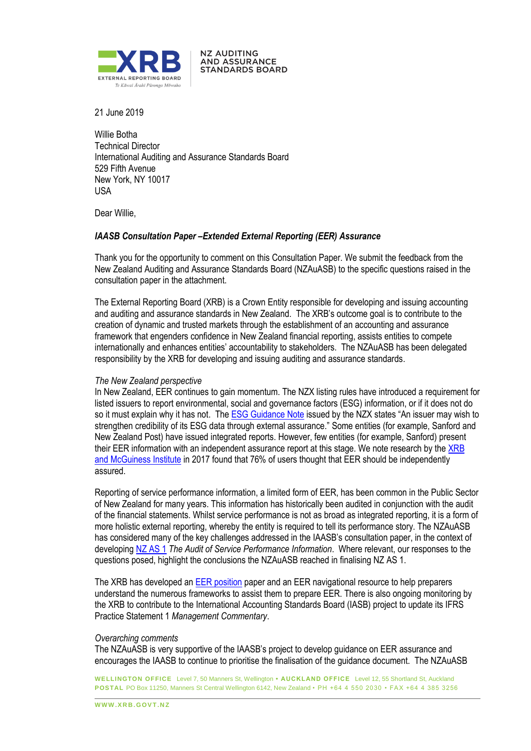

**NZ AUDITING AND ASSURANCE STANDARDS BOARD** 

21 June 2019

Willie Botha Technical Director International Auditing and Assurance Standards Board 529 Fifth Avenue New York, NY 10017 USA

Dear Willie,

# *IAASB Consultation Paper –Extended External Reporting (EER) Assurance*

Thank you for the opportunity to comment on this Consultation Paper. We submit the feedback from the New Zealand Auditing and Assurance Standards Board (NZAuASB) to the specific questions raised in the consultation paper in the attachment.

The External Reporting Board (XRB) is a Crown Entity responsible for developing and issuing accounting and auditing and assurance standards in New Zealand. The XRB's outcome goal is to contribute to the creation of dynamic and trusted markets through the establishment of an accounting and assurance framework that engenders confidence in New Zealand financial reporting, assists entities to compete internationally and enhances entities' accountability to stakeholders. The NZAuASB has been delegated responsibility by the XRB for developing and issuing auditing and assurance standards.

# *The New Zealand perspective*

In New Zealand, EER continues to gain momentum. The NZX listing rules have introduced a requirement for listed issuers to report environmental, social and governance factors (ESG) information, or if it does not do so it must explain why it has not. The **[ESG Guidance Note](https://www.nzx.com/regulation/nzx-rules-guidance/corporate-governance-code)** issued by the NZX states "An issuer may wish to strengthen credibility of its ESG data through external assurance." Some entities (for example, Sanford and New Zealand Post) have issued integrated reports. However, few entities (for example, Sanford) present their EER information with an independent assurance report at this stage. We note research by the XRB [and McGuiness Institute](https://www.xrb.govt.nz/information-hub/current-research-reports/) in 2017 found that 76% of users thought that EER should be independently assured.

Reporting of service performance information, a limited form of EER, has been common in the Public Sector of New Zealand for many years. This information has historically been audited in conjunction with the audit of the financial statements. Whilst service performance is not as broad as integrated reporting, it is a form of more holistic external reporting, whereby the entity is required to tell its performance story. The NZAuASB has considered many of the key challenges addressed in the IAASB's consultation paper, in the context of developin[g NZ AS 1](https://www.xrb.govt.nz/assurance-standards/auditing-standards/nz-as-1/) *The Audit of Service Performance Information*. Where relevant, our responses to the questions posed, highlight the conclusions the NZAuASB reached in finalising NZ AS 1.

The XRB has developed an [EER position](https://www.xrb.govt.nz/extended-external-reporting/xrb-position-statement/) paper and an EER navigational resource to help preparers understand the numerous frameworks to assist them to prepare EER. There is also ongoing monitoring by the XRB to contribute to the International Accounting Standards Board (IASB) project to update its IFRS Practice Statement 1 *Management Commentary*.

# *Overarching comments*

The NZAuASB is very supportive of the IAASB's project to develop guidance on EER assurance and encourages the IAASB to continue to prioritise the finalisation of the guidance document. The NZAuASB

**WELLINGTON OFFICE** Level 7, 50 Manners St, Wellington **• AUCKLAND OFFICE** Level 12, 55 Shortland St, Auckland **POSTAL** PO Box 11250, Manners St Central Wellington 6142, New Zealand • PH +64 4 550 2030 • FAX +64 4 385 3256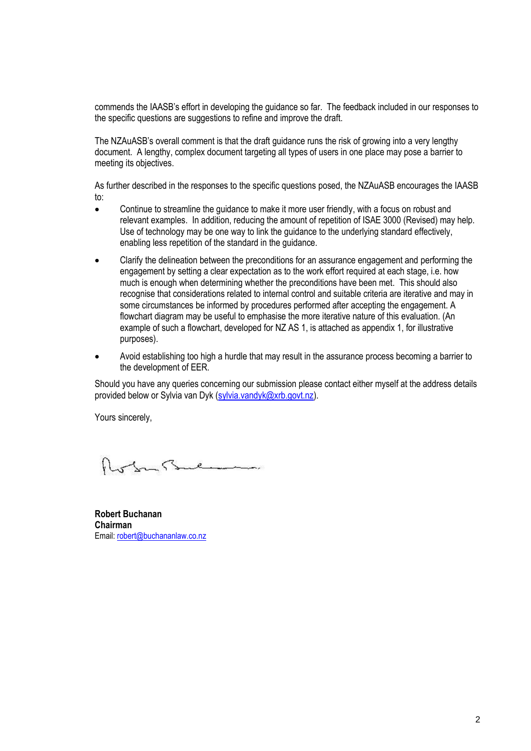commends the IAASB's effort in developing the guidance so far. The feedback included in our responses to the specific questions are suggestions to refine and improve the draft.

The NZAuASB's overall comment is that the draft guidance runs the risk of growing into a very lengthy document. A lengthy, complex document targeting all types of users in one place may pose a barrier to meeting its objectives.

As further described in the responses to the specific questions posed, the NZAuASB encourages the IAASB to:

- Continue to streamline the guidance to make it more user friendly, with a focus on robust and relevant examples. In addition, reducing the amount of repetition of ISAE 3000 (Revised) may help. Use of technology may be one way to link the guidance to the underlying standard effectively, enabling less repetition of the standard in the guidance.
- Clarify the delineation between the preconditions for an assurance engagement and performing the engagement by setting a clear expectation as to the work effort required at each stage, i.e. how much is enough when determining whether the preconditions have been met. This should also recognise that considerations related to internal control and suitable criteria are iterative and may in some circumstances be informed by procedures performed after accepting the engagement. A flowchart diagram may be useful to emphasise the more iterative nature of this evaluation. (An example of such a flowchart, developed for NZ AS 1, is attached as appendix 1, for illustrative purposes).
- Avoid establishing too high a hurdle that may result in the assurance process becoming a barrier to the development of EER.

Should you have any queries concerning our submission please contact either myself at the address details provided below or Sylvia van Dyk (sylvia.vandyk@xrb.govt.nz).

Yours sincerely,

Lordon Sand

**Robert Buchanan Chairman** Email: robert@buchananlaw.co.nz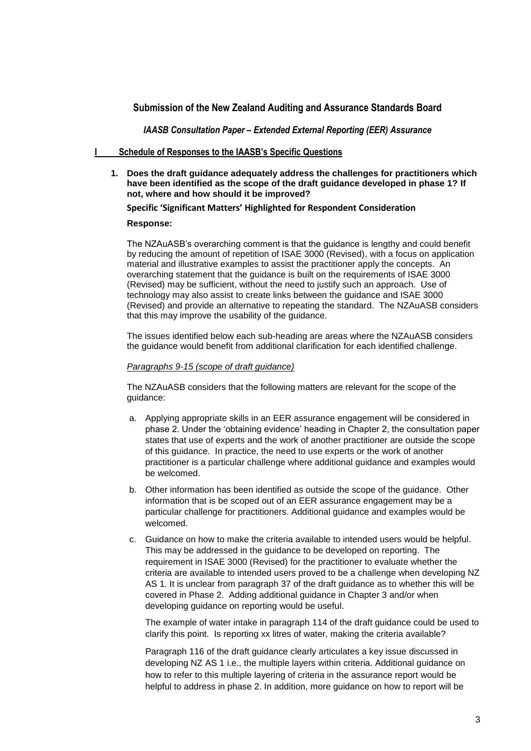# **Submission of the New Zealand Auditing and Assurance Standards Board**

*IAASB Consultation Paper – Extended External Reporting (EER) Assurance*

# **I Schedule of Responses to the IAASB's Specific Questions**

**1. Does the draft guidance adequately address the challenges for practitioners which have been identified as the scope of the draft guidance developed in phase 1? If not, where and how should it be improved?**

# **Specific 'Significant Matters' Highlighted for Respondent Consideration**

# **Response:**

The NZAuASB's overarching comment is that the guidance is lengthy and could benefit by reducing the amount of repetition of ISAE 3000 (Revised), with a focus on application material and illustrative examples to assist the practitioner apply the concepts. An overarching statement that the guidance is built on the requirements of ISAE 3000 (Revised) may be sufficient, without the need to justify such an approach. Use of technology may also assist to create links between the guidance and ISAE 3000 (Revised) and provide an alternative to repeating the standard. The NZAuASB considers that this may improve the usability of the guidance.

The issues identified below each sub-heading are areas where the NZAuASB considers the guidance would benefit from additional clarification for each identified challenge.

### *Paragraphs 9-15 (scope of draft guidance)*

The NZAuASB considers that the following matters are relevant for the scope of the guidance:

- a. Applying appropriate skills in an EER assurance engagement will be considered in phase 2. Under the 'obtaining evidence' heading in Chapter 2, the consultation paper states that use of experts and the work of another practitioner are outside the scope of this guidance. In practice, the need to use experts or the work of another practitioner is a particular challenge where additional guidance and examples would be welcomed.
- b. Other information has been identified as outside the scope of the guidance. Other information that is be scoped out of an EER assurance engagement may be a particular challenge for practitioners. Additional guidance and examples would be welcomed.
- c. Guidance on how to make the criteria available to intended users would be helpful. This may be addressed in the guidance to be developed on reporting. The requirement in ISAE 3000 (Revised) for the practitioner to evaluate whether the criteria are available to intended users proved to be a challenge when developing NZ AS 1. It is unclear from paragraph 37 of the draft guidance as to whether this will be covered in Phase 2. Adding additional guidance in Chapter 3 and/or when developing guidance on reporting would be useful.

The example of water intake in paragraph 114 of the draft guidance could be used to clarify this point. Is reporting xx litres of water, making the criteria available?

Paragraph 116 of the draft guidance clearly articulates a key issue discussed in developing NZ AS 1 i.e., the multiple layers within criteria. Additional guidance on how to refer to this multiple layering of criteria in the assurance report would be helpful to address in phase 2. In addition, more guidance on how to report will be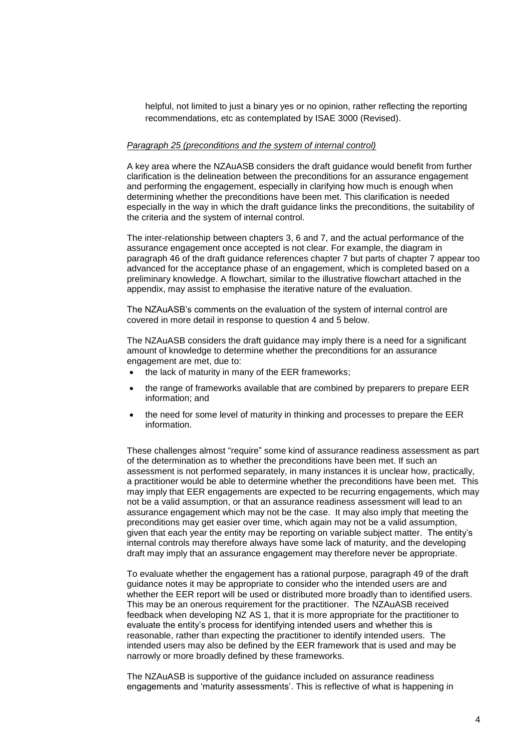helpful, not limited to just a binary yes or no opinion, rather reflecting the reporting recommendations, etc as contemplated by ISAE 3000 (Revised).

### *Paragraph 25 (preconditions and the system of internal control)*

A key area where the NZAuASB considers the draft guidance would benefit from further clarification is the delineation between the preconditions for an assurance engagement and performing the engagement, especially in clarifying how much is enough when determining whether the preconditions have been met. This clarification is needed especially in the way in which the draft guidance links the preconditions, the suitability of the criteria and the system of internal control.

The inter-relationship between chapters 3, 6 and 7, and the actual performance of the assurance engagement once accepted is not clear. For example, the diagram in paragraph 46 of the draft guidance references chapter 7 but parts of chapter 7 appear too advanced for the acceptance phase of an engagement, which is completed based on a preliminary knowledge. A flowchart, similar to the illustrative flowchart attached in the appendix, may assist to emphasise the iterative nature of the evaluation.

The NZAuASB's comments on the evaluation of the system of internal control are covered in more detail in response to question 4 and 5 below.

The NZAuASB considers the draft guidance may imply there is a need for a significant amount of knowledge to determine whether the preconditions for an assurance engagement are met, due to:

- the lack of maturity in many of the EER frameworks;
- the range of frameworks available that are combined by preparers to prepare EER information; and
- the need for some level of maturity in thinking and processes to prepare the EER information.

These challenges almost "require" some kind of assurance readiness assessment as part of the determination as to whether the preconditions have been met. If such an assessment is not performed separately, in many instances it is unclear how, practically, a practitioner would be able to determine whether the preconditions have been met. This may imply that EER engagements are expected to be recurring engagements, which may not be a valid assumption, or that an assurance readiness assessment will lead to an assurance engagement which may not be the case. It may also imply that meeting the preconditions may get easier over time, which again may not be a valid assumption, given that each year the entity may be reporting on variable subject matter. The entity's internal controls may therefore always have some lack of maturity, and the developing draft may imply that an assurance engagement may therefore never be appropriate.

To evaluate whether the engagement has a rational purpose, paragraph 49 of the draft guidance notes it may be appropriate to consider who the intended users are and whether the EER report will be used or distributed more broadly than to identified users. This may be an onerous requirement for the practitioner. The NZAuASB received feedback when developing NZ AS 1, that it is more appropriate for the practitioner to evaluate the entity's process for identifying intended users and whether this is reasonable, rather than expecting the practitioner to identify intended users. The intended users may also be defined by the EER framework that is used and may be narrowly or more broadly defined by these frameworks.

The NZAuASB is supportive of the guidance included on assurance readiness engagements and 'maturity assessments'. This is reflective of what is happening in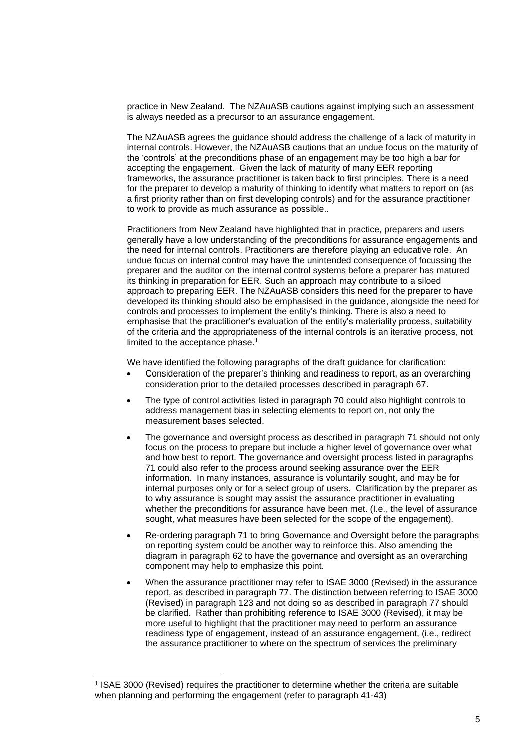practice in New Zealand. The NZAuASB cautions against implying such an assessment is always needed as a precursor to an assurance engagement.

The NZAuASB agrees the guidance should address the challenge of a lack of maturity in internal controls. However, the NZAuASB cautions that an undue focus on the maturity of the 'controls' at the preconditions phase of an engagement may be too high a bar for accepting the engagement. Given the lack of maturity of many EER reporting frameworks, the assurance practitioner is taken back to first principles. There is a need for the preparer to develop a maturity of thinking to identify what matters to report on (as a first priority rather than on first developing controls) and for the assurance practitioner to work to provide as much assurance as possible..

Practitioners from New Zealand have highlighted that in practice, preparers and users generally have a low understanding of the preconditions for assurance engagements and the need for internal controls. Practitioners are therefore playing an educative role. An undue focus on internal control may have the unintended consequence of focussing the preparer and the auditor on the internal control systems before a preparer has matured its thinking in preparation for EER. Such an approach may contribute to a siloed approach to preparing EER. The NZAuASB considers this need for the preparer to have developed its thinking should also be emphasised in the guidance, alongside the need for controls and processes to implement the entity's thinking. There is also a need to emphasise that the practitioner's evaluation of the entity's materiality process, suitability of the criteria and the appropriateness of the internal controls is an iterative process, not limited to the acceptance phase.<sup>1</sup>

We have identified the following paragraphs of the draft guidance for clarification:

- Consideration of the preparer's thinking and readiness to report, as an overarching consideration prior to the detailed processes described in paragraph 67.
- The type of control activities listed in paragraph 70 could also highlight controls to address management bias in selecting elements to report on, not only the measurement bases selected.
- The governance and oversight process as described in paragraph 71 should not only focus on the process to prepare but include a higher level of governance over what and how best to report. The governance and oversight process listed in paragraphs 71 could also refer to the process around seeking assurance over the EER information. In many instances, assurance is voluntarily sought, and may be for internal purposes only or for a select group of users. Clarification by the preparer as to why assurance is sought may assist the assurance practitioner in evaluating whether the preconditions for assurance have been met. (I.e., the level of assurance sought, what measures have been selected for the scope of the engagement).
- Re-ordering paragraph 71 to bring Governance and Oversight before the paragraphs on reporting system could be another way to reinforce this. Also amending the diagram in paragraph 62 to have the governance and oversight as an overarching component may help to emphasize this point.
- When the assurance practitioner may refer to ISAE 3000 (Revised) in the assurance report, as described in paragraph 77. The distinction between referring to ISAE 3000 (Revised) in paragraph 123 and not doing so as described in paragraph 77 should be clarified. Rather than prohibiting reference to ISAE 3000 (Revised), it may be more useful to highlight that the practitioner may need to perform an assurance readiness type of engagement, instead of an assurance engagement, (i.e., redirect the assurance practitioner to where on the spectrum of services the preliminary

l

<sup>1</sup> ISAE 3000 (Revised) requires the practitioner to determine whether the criteria are suitable when planning and performing the engagement (refer to paragraph 41-43)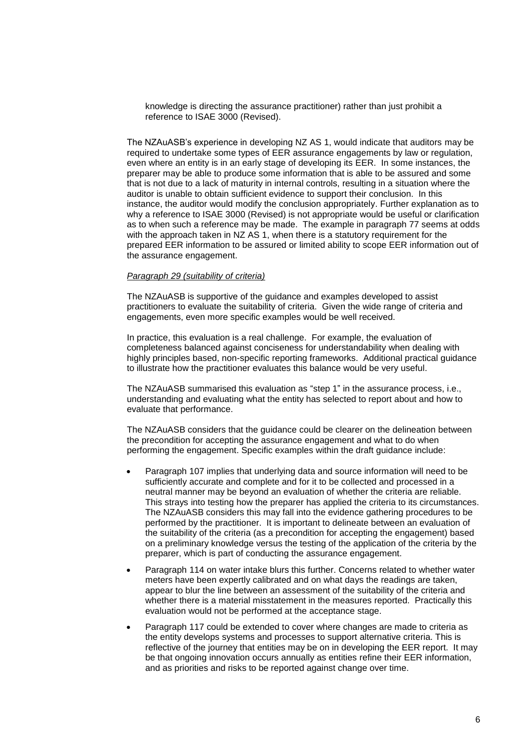knowledge is directing the assurance practitioner) rather than just prohibit a reference to ISAE 3000 (Revised).

The NZAuASB's experience in developing NZ AS 1, would indicate that auditors may be required to undertake some types of EER assurance engagements by law or regulation, even where an entity is in an early stage of developing its EER. In some instances, the preparer may be able to produce some information that is able to be assured and some that is not due to a lack of maturity in internal controls, resulting in a situation where the auditor is unable to obtain sufficient evidence to support their conclusion. In this instance, the auditor would modify the conclusion appropriately. Further explanation as to why a reference to ISAE 3000 (Revised) is not appropriate would be useful or clarification as to when such a reference may be made. The example in paragraph 77 seems at odds with the approach taken in NZ AS 1, when there is a statutory requirement for the prepared EER information to be assured or limited ability to scope EER information out of the assurance engagement.

### *Paragraph 29 (suitability of criteria)*

The NZAuASB is supportive of the guidance and examples developed to assist practitioners to evaluate the suitability of criteria. Given the wide range of criteria and engagements, even more specific examples would be well received.

In practice, this evaluation is a real challenge. For example, the evaluation of completeness balanced against conciseness for understandability when dealing with highly principles based, non-specific reporting frameworks. Additional practical guidance to illustrate how the practitioner evaluates this balance would be very useful.

The NZAuASB summarised this evaluation as "step 1" in the assurance process, i.e., understanding and evaluating what the entity has selected to report about and how to evaluate that performance.

The NZAuASB considers that the guidance could be clearer on the delineation between the precondition for accepting the assurance engagement and what to do when performing the engagement. Specific examples within the draft guidance include:

- Paragraph 107 implies that underlying data and source information will need to be sufficiently accurate and complete and for it to be collected and processed in a neutral manner may be beyond an evaluation of whether the criteria are reliable. This strays into testing how the preparer has applied the criteria to its circumstances. The NZAuASB considers this may fall into the evidence gathering procedures to be performed by the practitioner. It is important to delineate between an evaluation of the suitability of the criteria (as a precondition for accepting the engagement) based on a preliminary knowledge versus the testing of the application of the criteria by the preparer, which is part of conducting the assurance engagement.
- Paragraph 114 on water intake blurs this further. Concerns related to whether water meters have been expertly calibrated and on what days the readings are taken, appear to blur the line between an assessment of the suitability of the criteria and whether there is a material misstatement in the measures reported. Practically this evaluation would not be performed at the acceptance stage.
- Paragraph 117 could be extended to cover where changes are made to criteria as the entity develops systems and processes to support alternative criteria. This is reflective of the journey that entities may be on in developing the EER report. It may be that ongoing innovation occurs annually as entities refine their EER information, and as priorities and risks to be reported against change over time.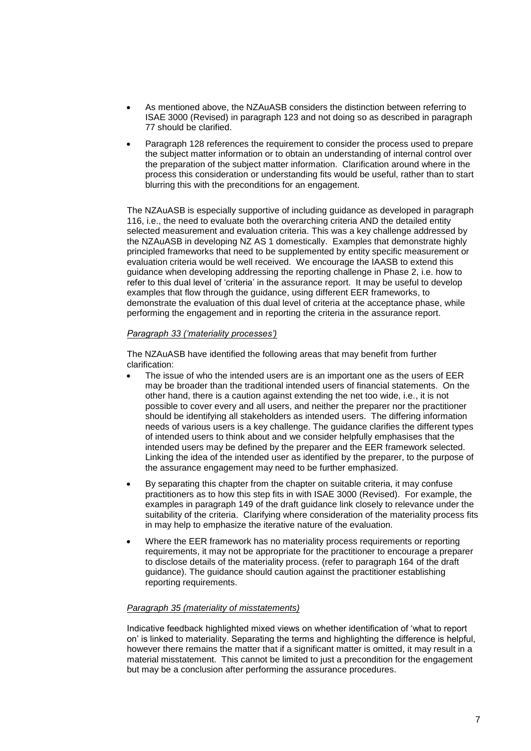- As mentioned above, the NZAuASB considers the distinction between referring to ISAE 3000 (Revised) in paragraph 123 and not doing so as described in paragraph 77 should be clarified.
- Paragraph 128 references the requirement to consider the process used to prepare the subject matter information or to obtain an understanding of internal control over the preparation of the subject matter information. Clarification around where in the process this consideration or understanding fits would be useful, rather than to start blurring this with the preconditions for an engagement.

The NZAuASB is especially supportive of including guidance as developed in paragraph 116, i.e., the need to evaluate both the overarching criteria AND the detailed entity selected measurement and evaluation criteria. This was a key challenge addressed by the NZAuASB in developing NZ AS 1 domestically. Examples that demonstrate highly principled frameworks that need to be supplemented by entity specific measurement or evaluation criteria would be well received. We encourage the IAASB to extend this guidance when developing addressing the reporting challenge in Phase 2, i.e. how to refer to this dual level of 'criteria' in the assurance report. It may be useful to develop examples that flow through the guidance, using different EER frameworks, to demonstrate the evaluation of this dual level of criteria at the acceptance phase, while performing the engagement and in reporting the criteria in the assurance report.

# *Paragraph 33 ('materiality processes')*

The NZAuASB have identified the following areas that may benefit from further clarification:

- The issue of who the intended users are is an important one as the users of EER may be broader than the traditional intended users of financial statements. On the other hand, there is a caution against extending the net too wide, i.e., it is not possible to cover every and all users, and neither the preparer nor the practitioner should be identifying all stakeholders as intended users. The differing information needs of various users is a key challenge. The guidance clarifies the different types of intended users to think about and we consider helpfully emphasises that the intended users may be defined by the preparer and the EER framework selected. Linking the idea of the intended user as identified by the preparer, to the purpose of the assurance engagement may need to be further emphasized.
- By separating this chapter from the chapter on suitable criteria, it may confuse practitioners as to how this step fits in with ISAE 3000 (Revised). For example, the examples in paragraph 149 of the draft guidance link closely to relevance under the suitability of the criteria. Clarifying where consideration of the materiality process fits in may help to emphasize the iterative nature of the evaluation.
- Where the EER framework has no materiality process requirements or reporting requirements, it may not be appropriate for the practitioner to encourage a preparer to disclose details of the materiality process. (refer to paragraph 164 of the draft guidance). The guidance should caution against the practitioner establishing reporting requirements.

# *Paragraph 35 (materiality of misstatements)*

Indicative feedback highlighted mixed views on whether identification of 'what to report on' is linked to materiality. Separating the terms and highlighting the difference is helpful, however there remains the matter that if a significant matter is omitted, it may result in a material misstatement. This cannot be limited to just a precondition for the engagement but may be a conclusion after performing the assurance procedures.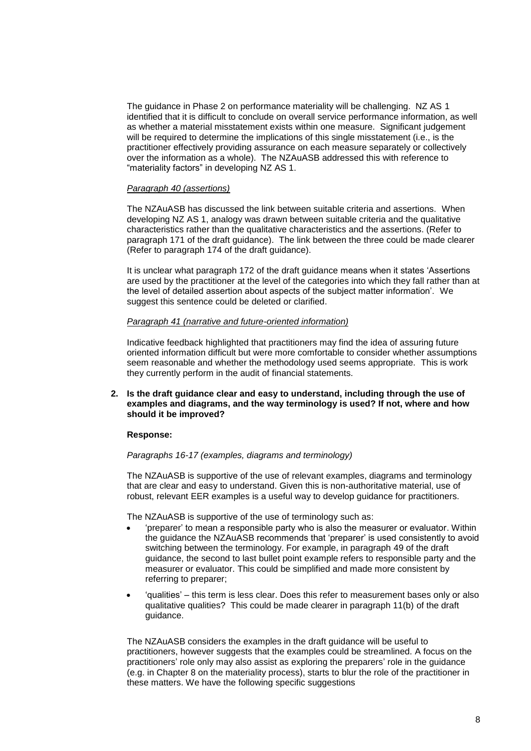The guidance in Phase 2 on performance materiality will be challenging. NZ AS 1 identified that it is difficult to conclude on overall service performance information, as well as whether a material misstatement exists within one measure. Significant judgement will be required to determine the implications of this single misstatement (i.e., is the practitioner effectively providing assurance on each measure separately or collectively over the information as a whole). The NZAuASB addressed this with reference to "materiality factors" in developing NZ AS 1.

### *Paragraph 40 (assertions)*

The NZAuASB has discussed the link between suitable criteria and assertions. When developing NZ AS 1, analogy was drawn between suitable criteria and the qualitative characteristics rather than the qualitative characteristics and the assertions. (Refer to paragraph 171 of the draft guidance). The link between the three could be made clearer (Refer to paragraph 174 of the draft guidance).

It is unclear what paragraph 172 of the draft guidance means when it states 'Assertions are used by the practitioner at the level of the categories into which they fall rather than at the level of detailed assertion about aspects of the subject matter information'. We suggest this sentence could be deleted or clarified.

#### *Paragraph 41 (narrative and future-oriented information)*

Indicative feedback highlighted that practitioners may find the idea of assuring future oriented information difficult but were more comfortable to consider whether assumptions seem reasonable and whether the methodology used seems appropriate. This is work they currently perform in the audit of financial statements.

**2. Is the draft guidance clear and easy to understand, including through the use of examples and diagrams, and the way terminology is used? If not, where and how should it be improved?**

#### **Response:**

## *Paragraphs 16-17 (examples, diagrams and terminology)*

The NZAuASB is supportive of the use of relevant examples, diagrams and terminology that are clear and easy to understand. Given this is non-authoritative material, use of robust, relevant EER examples is a useful way to develop guidance for practitioners.

The NZAuASB is supportive of the use of terminology such as:

- 'preparer' to mean a responsible party who is also the measurer or evaluator. Within the guidance the NZAuASB recommends that 'preparer' is used consistently to avoid switching between the terminology. For example, in paragraph 49 of the draft guidance, the second to last bullet point example refers to responsible party and the measurer or evaluator. This could be simplified and made more consistent by referring to preparer;
- 'qualities' this term is less clear. Does this refer to measurement bases only or also qualitative qualities? This could be made clearer in paragraph 11(b) of the draft guidance.

The NZAuASB considers the examples in the draft guidance will be useful to practitioners, however suggests that the examples could be streamlined. A focus on the practitioners' role only may also assist as exploring the preparers' role in the guidance (e.g. in Chapter 8 on the materiality process), starts to blur the role of the practitioner in these matters. We have the following specific suggestions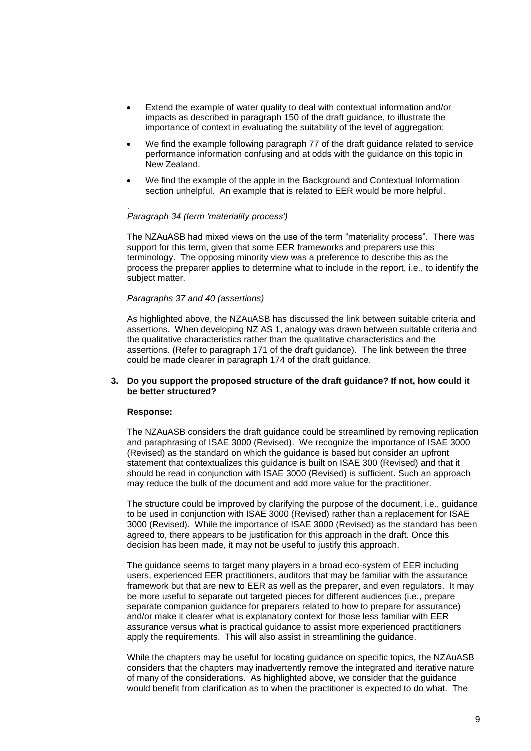- Extend the example of water quality to deal with contextual information and/or impacts as described in paragraph 150 of the draft guidance, to illustrate the importance of context in evaluating the suitability of the level of aggregation;
- We find the example following paragraph 77 of the draft guidance related to service performance information confusing and at odds with the guidance on this topic in New Zealand.
- We find the example of the apple in the Background and Contextual Information section unhelpful. An example that is related to EER would be more helpful.

#### . *Paragraph 34 (term 'materiality process')*

The NZAuASB had mixed views on the use of the term "materiality process". There was support for this term, given that some EER frameworks and preparers use this terminology. The opposing minority view was a preference to describe this as the process the preparer applies to determine what to include in the report, i.e., to identify the subject matter.

# *Paragraphs 37 and 40 (assertions)*

As highlighted above, the NZAuASB has discussed the link between suitable criteria and assertions. When developing NZ AS 1, analogy was drawn between suitable criteria and the qualitative characteristics rather than the qualitative characteristics and the assertions. (Refer to paragraph 171 of the draft guidance). The link between the three could be made clearer in paragraph 174 of the draft guidance.

### **3. Do you support the proposed structure of the draft guidance? If not, how could it be better structured?**

#### **Response:**

The NZAuASB considers the draft guidance could be streamlined by removing replication and paraphrasing of ISAE 3000 (Revised). We recognize the importance of ISAE 3000 (Revised) as the standard on which the guidance is based but consider an upfront statement that contextualizes this guidance is built on ISAE 300 (Revised) and that it should be read in conjunction with ISAE 3000 (Revised) is sufficient. Such an approach may reduce the bulk of the document and add more value for the practitioner.

The structure could be improved by clarifying the purpose of the document, i.e., guidance to be used in conjunction with ISAE 3000 (Revised) rather than a replacement for ISAE 3000 (Revised). While the importance of ISAE 3000 (Revised) as the standard has been agreed to, there appears to be justification for this approach in the draft. Once this decision has been made, it may not be useful to justify this approach.

The guidance seems to target many players in a broad eco-system of EER including users, experienced EER practitioners, auditors that may be familiar with the assurance framework but that are new to EER as well as the preparer, and even regulators. It may be more useful to separate out targeted pieces for different audiences (i.e., prepare separate companion guidance for preparers related to how to prepare for assurance) and/or make it clearer what is explanatory context for those less familiar with EER assurance versus what is practical guidance to assist more experienced practitioners apply the requirements. This will also assist in streamlining the guidance.

While the chapters may be useful for locating guidance on specific topics, the NZAuASB considers that the chapters may inadvertently remove the integrated and iterative nature of many of the considerations. As highlighted above, we consider that the guidance would benefit from clarification as to when the practitioner is expected to do what. The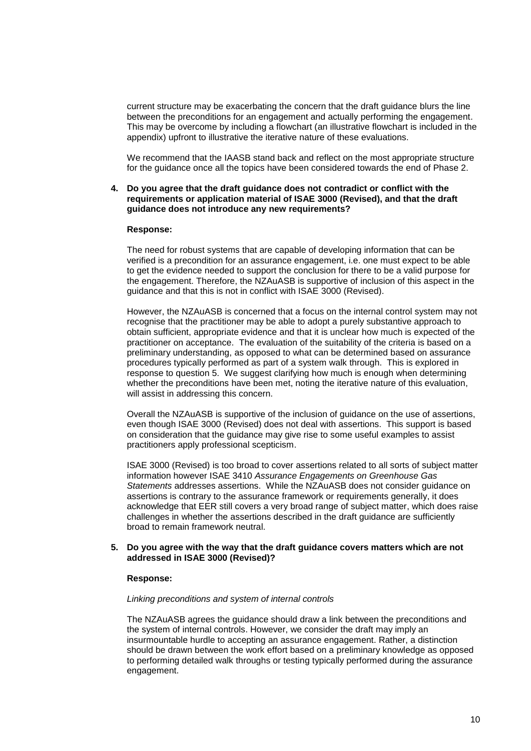current structure may be exacerbating the concern that the draft guidance blurs the line between the preconditions for an engagement and actually performing the engagement. This may be overcome by including a flowchart (an illustrative flowchart is included in the appendix) upfront to illustrative the iterative nature of these evaluations.

We recommend that the IAASB stand back and reflect on the most appropriate structure for the guidance once all the topics have been considered towards the end of Phase 2.

### **4. Do you agree that the draft guidance does not contradict or conflict with the requirements or application material of ISAE 3000 (Revised), and that the draft guidance does not introduce any new requirements?**

### **Response:**

The need for robust systems that are capable of developing information that can be verified is a precondition for an assurance engagement, i.e. one must expect to be able to get the evidence needed to support the conclusion for there to be a valid purpose for the engagement. Therefore, the NZAuASB is supportive of inclusion of this aspect in the guidance and that this is not in conflict with ISAE 3000 (Revised).

However, the NZAuASB is concerned that a focus on the internal control system may not recognise that the practitioner may be able to adopt a purely substantive approach to obtain sufficient, appropriate evidence and that it is unclear how much is expected of the practitioner on acceptance. The evaluation of the suitability of the criteria is based on a preliminary understanding, as opposed to what can be determined based on assurance procedures typically performed as part of a system walk through. This is explored in response to question 5. We suggest clarifying how much is enough when determining whether the preconditions have been met, noting the iterative nature of this evaluation, will assist in addressing this concern.

Overall the NZAuASB is supportive of the inclusion of guidance on the use of assertions, even though ISAE 3000 (Revised) does not deal with assertions. This support is based on consideration that the guidance may give rise to some useful examples to assist practitioners apply professional scepticism.

ISAE 3000 (Revised) is too broad to cover assertions related to all sorts of subject matter information however ISAE 3410 *Assurance Engagements on Greenhouse Gas Statements* addresses assertions. While the NZAuASB does not consider guidance on assertions is contrary to the assurance framework or requirements generally, it does acknowledge that EER still covers a very broad range of subject matter, which does raise challenges in whether the assertions described in the draft guidance are sufficiently broad to remain framework neutral.

### **5. Do you agree with the way that the draft guidance covers matters which are not addressed in ISAE 3000 (Revised)?**

#### **Response:**

#### *Linking preconditions and system of internal controls*

The NZAuASB agrees the guidance should draw a link between the preconditions and the system of internal controls. However, we consider the draft may imply an insurmountable hurdle to accepting an assurance engagement. Rather, a distinction should be drawn between the work effort based on a preliminary knowledge as opposed to performing detailed walk throughs or testing typically performed during the assurance engagement.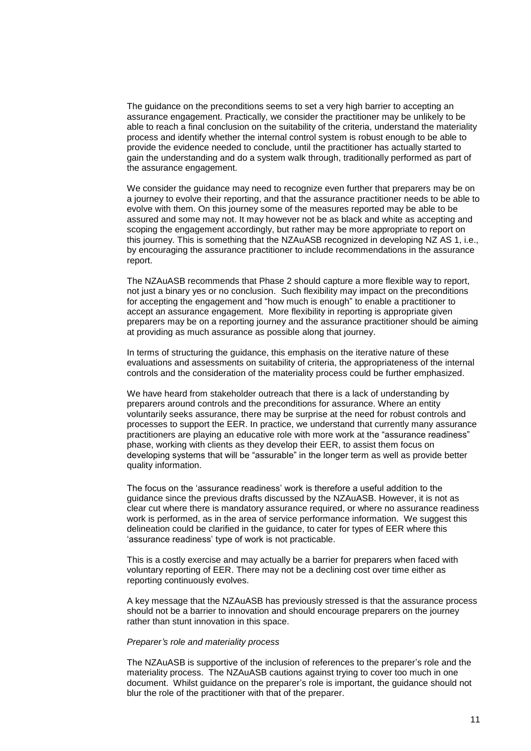The guidance on the preconditions seems to set a very high barrier to accepting an assurance engagement. Practically, we consider the practitioner may be unlikely to be able to reach a final conclusion on the suitability of the criteria, understand the materiality process and identify whether the internal control system is robust enough to be able to provide the evidence needed to conclude, until the practitioner has actually started to gain the understanding and do a system walk through, traditionally performed as part of the assurance engagement.

We consider the guidance may need to recognize even further that preparers may be on a journey to evolve their reporting, and that the assurance practitioner needs to be able to evolve with them. On this journey some of the measures reported may be able to be assured and some may not. It may however not be as black and white as accepting and scoping the engagement accordingly, but rather may be more appropriate to report on this journey. This is something that the NZAuASB recognized in developing NZ AS 1, i.e., by encouraging the assurance practitioner to include recommendations in the assurance report.

The NZAuASB recommends that Phase 2 should capture a more flexible way to report, not just a binary yes or no conclusion. Such flexibility may impact on the preconditions for accepting the engagement and "how much is enough" to enable a practitioner to accept an assurance engagement. More flexibility in reporting is appropriate given preparers may be on a reporting journey and the assurance practitioner should be aiming at providing as much assurance as possible along that journey.

In terms of structuring the guidance, this emphasis on the iterative nature of these evaluations and assessments on suitability of criteria, the appropriateness of the internal controls and the consideration of the materiality process could be further emphasized.

We have heard from stakeholder outreach that there is a lack of understanding by preparers around controls and the preconditions for assurance. Where an entity voluntarily seeks assurance, there may be surprise at the need for robust controls and processes to support the EER. In practice, we understand that currently many assurance practitioners are playing an educative role with more work at the "assurance readiness" phase, working with clients as they develop their EER, to assist them focus on developing systems that will be "assurable" in the longer term as well as provide better quality information.

The focus on the 'assurance readiness' work is therefore a useful addition to the guidance since the previous drafts discussed by the NZAuASB. However, it is not as clear cut where there is mandatory assurance required, or where no assurance readiness work is performed, as in the area of service performance information. We suggest this delineation could be clarified in the guidance, to cater for types of EER where this 'assurance readiness' type of work is not practicable.

This is a costly exercise and may actually be a barrier for preparers when faced with voluntary reporting of EER. There may not be a declining cost over time either as reporting continuously evolves.

A key message that the NZAuASB has previously stressed is that the assurance process should not be a barrier to innovation and should encourage preparers on the journey rather than stunt innovation in this space.

#### *Preparer's role and materiality process*

The NZAuASB is supportive of the inclusion of references to the preparer's role and the materiality process. The NZAuASB cautions against trying to cover too much in one document. Whilst guidance on the preparer's role is important, the guidance should not blur the role of the practitioner with that of the preparer.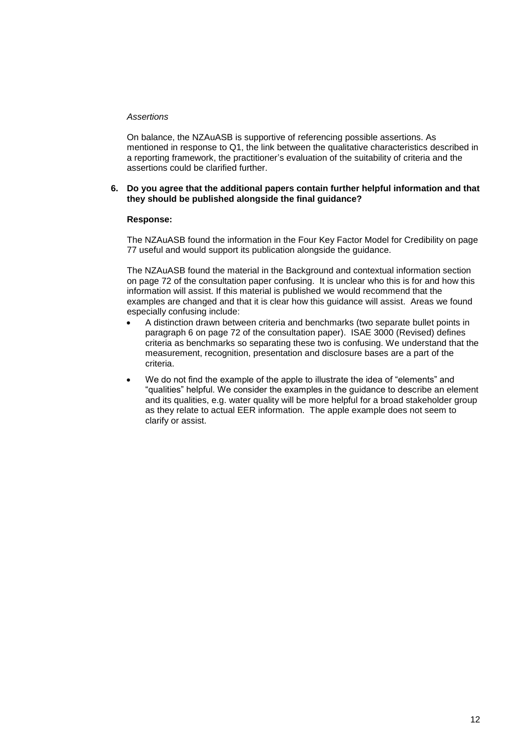## *Assertions*

On balance, the NZAuASB is supportive of referencing possible assertions. As mentioned in response to Q1, the link between the qualitative characteristics described in a reporting framework, the practitioner's evaluation of the suitability of criteria and the assertions could be clarified further.

# **6. Do you agree that the additional papers contain further helpful information and that they should be published alongside the final guidance?**

# **Response:**

The NZAuASB found the information in the Four Key Factor Model for Credibility on page 77 useful and would support its publication alongside the guidance.

The NZAuASB found the material in the Background and contextual information section on page 72 of the consultation paper confusing. It is unclear who this is for and how this information will assist. If this material is published we would recommend that the examples are changed and that it is clear how this guidance will assist. Areas we found especially confusing include:

- A distinction drawn between criteria and benchmarks (two separate bullet points in paragraph 6 on page 72 of the consultation paper). ISAE 3000 (Revised) defines criteria as benchmarks so separating these two is confusing. We understand that the measurement, recognition, presentation and disclosure bases are a part of the criteria.
- We do not find the example of the apple to illustrate the idea of "elements" and "qualities" helpful. We consider the examples in the guidance to describe an element and its qualities, e.g. water quality will be more helpful for a broad stakeholder group as they relate to actual EER information. The apple example does not seem to clarify or assist.